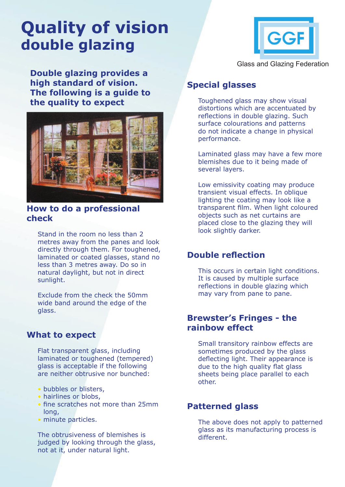# **Quality of vision double glazing**



**Double glazing provides a high standard of vision. The following is a guide to the quality to expect**



#### **How to do a professional check**

Stand in the room no less than 2 metres away from the panes and look directly through them. For toughened, laminated or coated glasses, stand no less than 3 metres away. Do so in natural daylight, but not in direct sunlight.

Exclude from the check the 50mm wide band around the edge of the glass.

## **What to expect**

Flat transparent glass, including laminated or toughened (tempered) glass is acceptable if the following are neither obtrusive nor bunched:

- bubbles or blisters,
- hairlines or blobs.
- fine scratches not more than 25mm long,
- minute particles.

The obtrusiveness of blemishes is judged by looking through the glass, not at it, under natural light.

# **Special glasses**

Toughened glass may show visual distortions which are accentuated by reflections in double glazing. Such surface colourations and patterns do not indicate a change in physical performance.

Laminated glass may have a few more blemishes due to it being made of several layers.

Low emissivity coating may produce transient visual effects. In oblique lighting the coating may look like a transparent film. When light coloured objects such as net curtains are placed close to the glazing they will look slightly darker.

## **Double reflection**

This occurs in certain light conditions. It is caused by multiple surface reflections in double glazing which may vary from pane to pane.

### **Brewster's Fringes - the rainbow effect**

Small transitory rainbow effects are sometimes produced by the glass deflecting light. Their appearance is due to the high quality flat glass sheets being place parallel to each other.

# **Patterned glass**

The above does not apply to patterned glass as its manufacturing process is different.